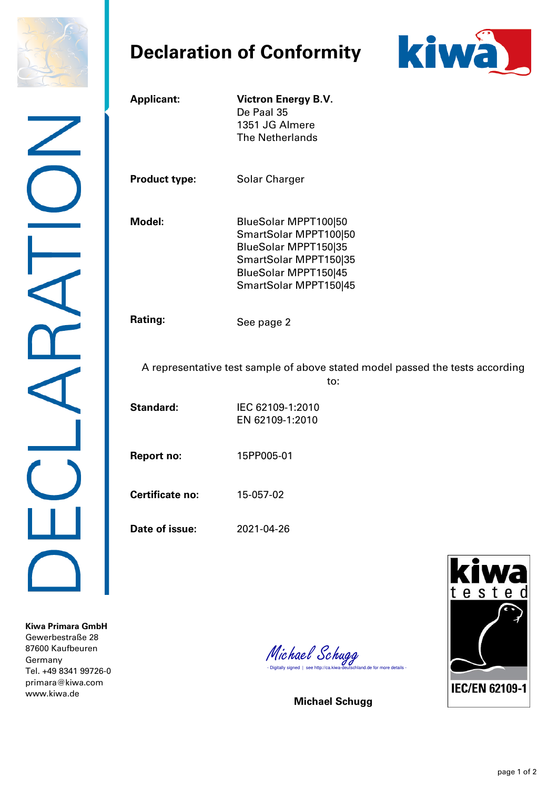

## **Declaration of Conformity**



| <b>Applicant:</b>      | <b>Victron Energy B.V.</b><br>De Paal 35<br>1351 JG Almere<br>The Netherlands                                                                   |
|------------------------|-------------------------------------------------------------------------------------------------------------------------------------------------|
| <b>Product type:</b>   | <b>Solar Charger</b>                                                                                                                            |
| Model:                 | BlueSolar MPPT100 50<br>SmartSolar MPPT100 50<br>BlueSolar MPPT150 35<br>SmartSolar MPPT150 35<br>BlueSolar MPPT150 45<br>SmartSolar MPPT150 45 |
| <b>Rating:</b>         | See page 2                                                                                                                                      |
|                        | A representative test sample of above stated model passed the tests according<br>to:                                                            |
| <b>Standard:</b>       | IEC 62109-1:2010<br>EN 62109-1:2010                                                                                                             |
| <b>Report no:</b>      | 15PP005-01                                                                                                                                      |
| <b>Certificate no:</b> | 15-057-02                                                                                                                                       |
| Date of issue:         | 2021-04-26                                                                                                                                      |
|                        | kiwa<br>tested                                                                                                                                  |

**Kiwa Primara GmbH**  Gewerbestraße 28 87600 Kaufbeuren Germany Tel. +49 8341 99726-0 primara@kiwa.com www.kiwa.de

Michael Schugg<br>- Digitally signed | see http://ca.kiwa-deutschland.de for more details -

**Michael Schugg**